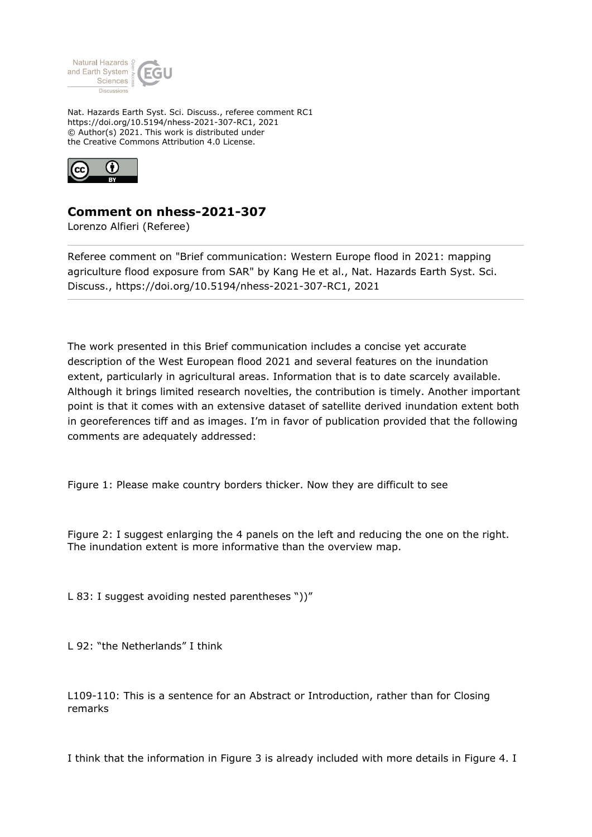

Nat. Hazards Earth Syst. Sci. Discuss., referee comment RC1 https://doi.org/10.5194/nhess-2021-307-RC1, 2021 © Author(s) 2021. This work is distributed under the Creative Commons Attribution 4.0 License.



## **Comment on nhess-2021-307**

Lorenzo Alfieri (Referee)

Referee comment on "Brief communication: Western Europe flood in 2021: mapping agriculture flood exposure from SAR" by Kang He et al., Nat. Hazards Earth Syst. Sci. Discuss., https://doi.org/10.5194/nhess-2021-307-RC1, 2021

The work presented in this Brief communication includes a concise yet accurate description of the West European flood 2021 and several features on the inundation extent, particularly in agricultural areas. Information that is to date scarcely available. Although it brings limited research novelties, the contribution is timely. Another important point is that it comes with an extensive dataset of satellite derived inundation extent both in georeferences tiff and as images. I'm in favor of publication provided that the following comments are adequately addressed:

Figure 1: Please make country borders thicker. Now they are difficult to see

Figure 2: I suggest enlarging the 4 panels on the left and reducing the one on the right. The inundation extent is more informative than the overview map.

L 83: I suggest avoiding nested parentheses "))"

L 92: "the Netherlands" I think

L109-110: This is a sentence for an Abstract or Introduction, rather than for Closing remarks

I think that the information in Figure 3 is already included with more details in Figure 4. I